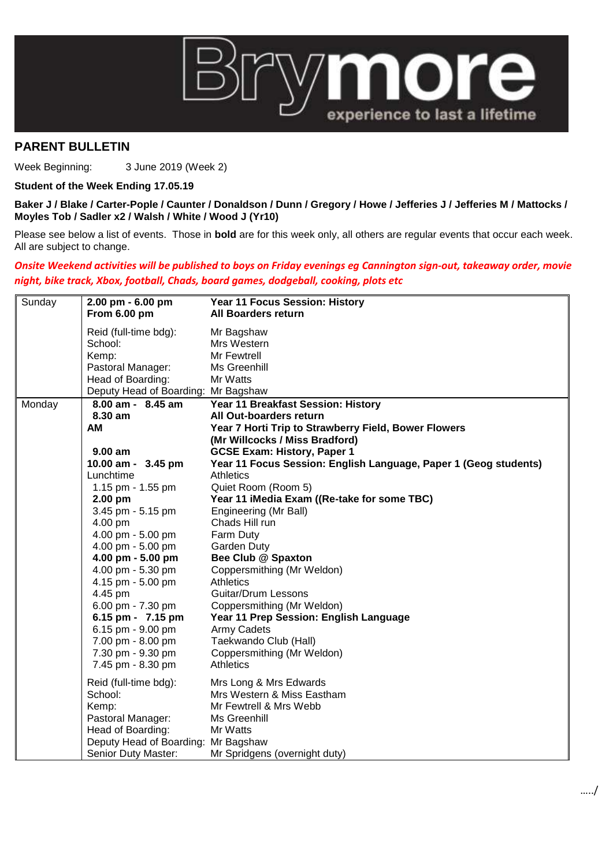

## **PARENT BULLETIN**

Week Beginning: 3 June 2019 (Week 2)

## **Student of the Week Ending 17.05.19**

**Baker J / Blake / Carter-Pople / Caunter / Donaldson / Dunn / Gregory / Howe / Jefferies J / Jefferies M / Mattocks / Moyles Tob / Sadler x2 / Walsh / White / Wood J (Yr10)**

Please see below a list of events. Those in **bold** are for this week only, all others are regular events that occur each week. All are subject to change.

## *Onsite Weekend activities will be published to boys on Friday evenings eg Cannington sign-out, takeaway order, movie night, bike track, Xbox, football, Chads, board games, dodgeball, cooking, plots etc*

| Sunday | 2.00 pm - 6.00 pm<br>From 6.00 pm   | Year 11 Focus Session: History<br><b>All Boarders return</b>     |
|--------|-------------------------------------|------------------------------------------------------------------|
|        | Reid (full-time bdg):               | Mr Bagshaw                                                       |
|        | School:                             | Mrs Western                                                      |
|        | Kemp:                               | Mr Fewtrell                                                      |
|        | Pastoral Manager:                   | Ms Greenhill                                                     |
|        | Head of Boarding:                   | Mr Watts                                                         |
|        | Deputy Head of Boarding: Mr Bagshaw |                                                                  |
| Monday | 8.00 am - 8.45 am                   | Year 11 Breakfast Session: History                               |
|        | 8.30 am                             | All Out-boarders return                                          |
|        | AM                                  | Year 7 Horti Trip to Strawberry Field, Bower Flowers             |
|        |                                     | (Mr Willcocks / Miss Bradford)                                   |
|        | $9.00$ am                           | <b>GCSE Exam: History, Paper 1</b>                               |
|        | 10.00 am - 3.45 pm                  | Year 11 Focus Session: English Language, Paper 1 (Geog students) |
|        | Lunchtime                           | <b>Athletics</b>                                                 |
|        | 1.15 pm - 1.55 pm                   | Quiet Room (Room 5)                                              |
|        | 2.00 pm                             | Year 11 iMedia Exam ((Re-take for some TBC)                      |
|        | 3.45 pm - 5.15 pm                   | Engineering (Mr Ball)                                            |
|        | 4.00 pm                             | Chads Hill run                                                   |
|        | 4.00 pm - 5.00 pm                   | Farm Duty                                                        |
|        | 4.00 pm - 5.00 pm                   | <b>Garden Duty</b>                                               |
|        | 4.00 pm - 5.00 pm                   | Bee Club @ Spaxton                                               |
|        | 4.00 pm - 5.30 pm                   | Coppersmithing (Mr Weldon)                                       |
|        | 4.15 pm - 5.00 pm                   | <b>Athletics</b>                                                 |
|        | 4.45 pm                             | Guitar/Drum Lessons                                              |
|        | 6.00 pm - 7.30 pm                   | Coppersmithing (Mr Weldon)                                       |
|        | 6.15 pm - 7.15 pm                   | Year 11 Prep Session: English Language                           |
|        | 6.15 pm - 9.00 pm                   | <b>Army Cadets</b>                                               |
|        | 7.00 pm - 8.00 pm                   | Taekwando Club (Hall)                                            |
|        | 7.30 pm - 9.30 pm                   | Coppersmithing (Mr Weldon)                                       |
|        | 7.45 pm - 8.30 pm                   | <b>Athletics</b>                                                 |
|        | Reid (full-time bdg):               | Mrs Long & Mrs Edwards                                           |
|        | School:                             | Mrs Western & Miss Eastham                                       |
|        | Kemp:                               | Mr Fewtrell & Mrs Webb                                           |
|        | Pastoral Manager:                   | Ms Greenhill                                                     |
|        | Head of Boarding:                   | Mr Watts                                                         |
|        | Deputy Head of Boarding: Mr Bagshaw |                                                                  |
|        | Senior Duty Master:                 | Mr Spridgens (overnight duty)                                    |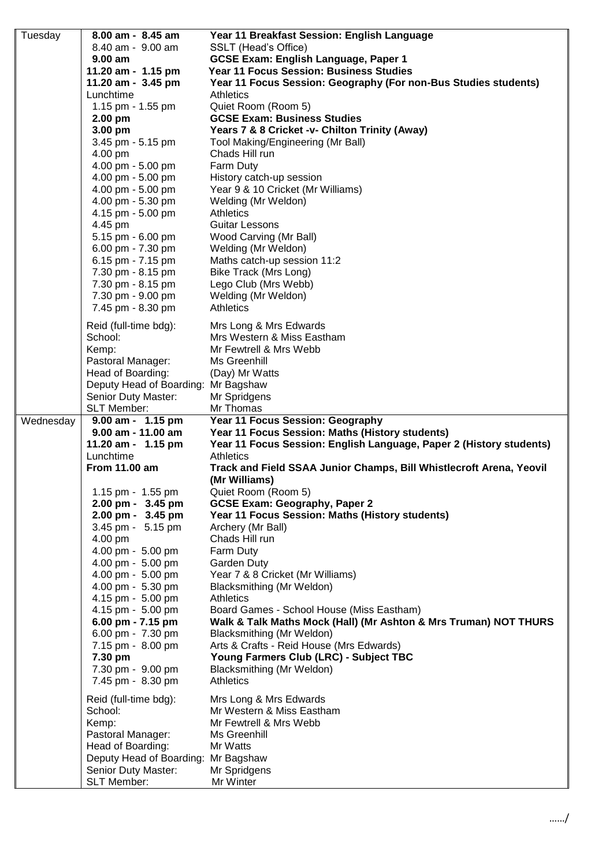| Tuesday   | 8.00 am - 8.45 am                         | Year 11 Breakfast Session: English Language                          |
|-----------|-------------------------------------------|----------------------------------------------------------------------|
|           | 8.40 am - 9.00 am                         | SSLT (Head's Office)                                                 |
|           | $9.00$ am                                 | <b>GCSE Exam: English Language, Paper 1</b>                          |
|           | 11.20 am - 1.15 pm                        | Year 11 Focus Session: Business Studies                              |
|           | 11.20 am - 3.45 pm                        | Year 11 Focus Session: Geography (For non-Bus Studies students)      |
|           | Lunchtime                                 | Athletics                                                            |
|           | 1.15 pm - 1.55 pm                         | Quiet Room (Room 5)                                                  |
|           | $2.00$ pm                                 | <b>GCSE Exam: Business Studies</b>                                   |
|           | 3.00 pm                                   | Years 7 & 8 Cricket -v- Chilton Trinity (Away)                       |
|           | 3.45 pm - 5.15 pm                         | Tool Making/Engineering (Mr Ball)                                    |
|           | 4.00 pm                                   | Chads Hill run                                                       |
|           | 4.00 pm - 5.00 pm                         | Farm Duty                                                            |
|           | 4.00 pm - 5.00 pm<br>4.00 pm - 5.00 pm    | History catch-up session<br>Year 9 & 10 Cricket (Mr Williams)        |
|           | 4.00 pm - 5.30 pm                         | Welding (Mr Weldon)                                                  |
|           | 4.15 pm - 5.00 pm                         | <b>Athletics</b>                                                     |
|           | 4.45 pm                                   | <b>Guitar Lessons</b>                                                |
|           | 5.15 pm - 6.00 pm                         | Wood Carving (Mr Ball)                                               |
|           | 6.00 pm - 7.30 pm                         | Welding (Mr Weldon)                                                  |
|           | 6.15 pm - 7.15 pm                         | Maths catch-up session 11:2                                          |
|           | 7.30 pm - 8.15 pm                         | Bike Track (Mrs Long)                                                |
|           | 7.30 pm - 8.15 pm                         | Lego Club (Mrs Webb)                                                 |
|           | 7.30 pm - 9.00 pm                         | Welding (Mr Weldon)                                                  |
|           | 7.45 pm - 8.30 pm                         | <b>Athletics</b>                                                     |
|           | Reid (full-time bdg):                     | Mrs Long & Mrs Edwards                                               |
|           | School:                                   | Mrs Western & Miss Eastham                                           |
|           | Kemp:                                     | Mr Fewtrell & Mrs Webb                                               |
|           | Pastoral Manager:                         | Ms Greenhill                                                         |
|           | Head of Boarding:                         | (Day) Mr Watts                                                       |
|           | Deputy Head of Boarding: Mr Bagshaw       |                                                                      |
|           | Senior Duty Master:                       | Mr Spridgens                                                         |
|           | SLT Member:                               | Mr Thomas                                                            |
|           |                                           |                                                                      |
| Wednesday | 9.00 am - 1.15 pm                         | Year 11 Focus Session: Geography                                     |
|           | 9.00 am - 11.00 am                        | Year 11 Focus Session: Maths (History students)                      |
|           | 11.20 am - 1.15 pm                        | Year 11 Focus Session: English Language, Paper 2 (History students)  |
|           | Lunchtime                                 | <b>Athletics</b>                                                     |
|           | <b>From 11.00 am</b>                      | Track and Field SSAA Junior Champs, Bill Whistlecroft Arena, Yeovil  |
|           |                                           | (Mr Williams)                                                        |
|           | 1.15 pm - 1.55 pm                         | Quiet Room (Room 5)                                                  |
|           | 2.00 pm - 3.45 pm                         | <b>GCSE Exam: Geography, Paper 2</b>                                 |
|           | 2.00 pm - 3.45 pm<br>3.45 pm - 5.15 pm    | Year 11 Focus Session: Maths (History students)<br>Archery (Mr Ball) |
|           | 4.00 pm                                   | Chads Hill run                                                       |
|           | 4.00 pm - 5.00 pm                         | Farm Duty                                                            |
|           | 4.00 pm - 5.00 pm                         | Garden Duty                                                          |
|           | 4.00 pm - 5.00 pm                         | Year 7 & 8 Cricket (Mr Williams)                                     |
|           | 4.00 pm - 5.30 pm                         | Blacksmithing (Mr Weldon)                                            |
|           | 4.15 pm - 5.00 pm                         | <b>Athletics</b>                                                     |
|           | 4.15 pm - 5.00 pm                         | Board Games - School House (Miss Eastham)                            |
|           | 6.00 pm - 7.15 pm                         | Walk & Talk Maths Mock (Hall) (Mr Ashton & Mrs Truman) NOT THURS     |
|           | 6.00 pm - 7.30 pm                         | Blacksmithing (Mr Weldon)                                            |
|           | 7.15 pm - 8.00 pm                         | Arts & Crafts - Reid House (Mrs Edwards)                             |
|           | 7.30 pm                                   | Young Farmers Club (LRC) - Subject TBC                               |
|           | 7.30 pm - 9.00 pm                         | Blacksmithing (Mr Weldon)<br><b>Athletics</b>                        |
|           | 7.45 pm - 8.30 pm                         |                                                                      |
|           | Reid (full-time bdg):                     | Mrs Long & Mrs Edwards                                               |
|           | School:                                   | Mr Western & Miss Eastham                                            |
|           | Kemp:                                     | Mr Fewtrell & Mrs Webb                                               |
|           | Pastoral Manager:                         | Ms Greenhill                                                         |
|           | Head of Boarding:                         | Mr Watts                                                             |
|           | Deputy Head of Boarding:                  | Mr Bagshaw                                                           |
|           | Senior Duty Master:<br><b>SLT Member:</b> | Mr Spridgens<br>Mr Winter                                            |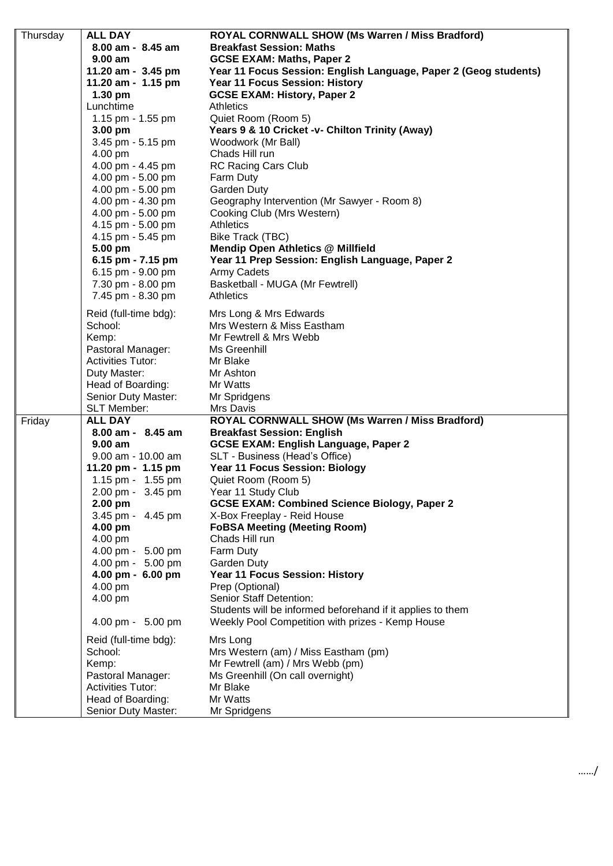| Thursday | <b>ALL DAY</b>           | ROYAL CORNWALL SHOW (Ms Warren / Miss Bradford)                  |
|----------|--------------------------|------------------------------------------------------------------|
|          | 8.00 am - 8.45 am        | <b>Breakfast Session: Maths</b>                                  |
|          | $9.00$ am                | <b>GCSE EXAM: Maths, Paper 2</b>                                 |
|          | 11.20 am - 3.45 pm       | Year 11 Focus Session: English Language, Paper 2 (Geog students) |
|          | 11.20 am - 1.15 pm       | Year 11 Focus Session: History                                   |
|          | 1.30 pm                  | <b>GCSE EXAM: History, Paper 2</b>                               |
|          | Lunchtime                | Athletics                                                        |
|          | 1.15 pm - 1.55 pm        | Quiet Room (Room 5)                                              |
|          | 3.00 pm                  | Years 9 & 10 Cricket -v- Chilton Trinity (Away)                  |
|          | 3.45 pm - 5.15 pm        | Woodwork (Mr Ball)                                               |
|          |                          |                                                                  |
|          | 4.00 pm                  | Chads Hill run                                                   |
|          | 4.00 pm - 4.45 pm        | <b>RC Racing Cars Club</b>                                       |
|          | 4.00 pm - 5.00 pm        | Farm Duty                                                        |
|          | 4.00 pm - 5.00 pm        | <b>Garden Duty</b>                                               |
|          | 4.00 pm - 4.30 pm        | Geography Intervention (Mr Sawyer - Room 8)                      |
|          | 4.00 pm - 5.00 pm        | Cooking Club (Mrs Western)                                       |
|          | 4.15 pm - 5.00 pm        | <b>Athletics</b>                                                 |
|          | 4.15 pm - 5.45 pm        | Bike Track (TBC)                                                 |
|          | 5.00 pm                  | <b>Mendip Open Athletics @ Millfield</b>                         |
|          | 6.15 pm - 7.15 pm        | Year 11 Prep Session: English Language, Paper 2                  |
|          | 6.15 pm - 9.00 pm        | <b>Army Cadets</b>                                               |
|          | 7.30 pm - 8.00 pm        | Basketball - MUGA (Mr Fewtrell)                                  |
|          | 7.45 pm - 8.30 pm        | <b>Athletics</b>                                                 |
|          | Reid (full-time bdg):    | Mrs Long & Mrs Edwards                                           |
|          | School:                  | Mrs Western & Miss Eastham                                       |
|          | Kemp:                    | Mr Fewtrell & Mrs Webb                                           |
|          | Pastoral Manager:        | Ms Greenhill                                                     |
|          | <b>Activities Tutor:</b> | Mr Blake                                                         |
|          | Duty Master:             | Mr Ashton                                                        |
|          | Head of Boarding:        | Mr Watts                                                         |
|          | Senior Duty Master:      | Mr Spridgens                                                     |
|          | <b>SLT Member:</b>       | Mrs Davis                                                        |
| Friday   | <b>ALL DAY</b>           | ROYAL CORNWALL SHOW (Ms Warren / Miss Bradford)                  |
|          | 8.00 am - 8.45 am        | <b>Breakfast Session: English</b>                                |
|          | 9.00 am                  | <b>GCSE EXAM: English Language, Paper 2</b>                      |
|          | $9.00$ am - 10.00 am     | SLT - Business (Head's Office)                                   |
|          | 11.20 pm - 1.15 pm       | <b>Year 11 Focus Session: Biology</b>                            |
|          | 1.15 pm - 1.55 pm        | Quiet Room (Room 5)                                              |
|          | 2.00 pm - 3.45 pm        | Year 11 Study Club                                               |
|          | 2.00 pm                  | <b>GCSE EXAM: Combined Science Biology, Paper 2</b>              |
|          | 3.45 pm - 4.45 pm        | X-Box Freeplay - Reid House                                      |
|          | 4.00 pm                  | <b>FoBSA Meeting (Meeting Room)</b>                              |
|          | 4.00 pm                  | Chads Hill run                                                   |
|          | 4.00 pm - 5.00 pm        | Farm Duty                                                        |
|          | 4.00 pm - 5.00 pm        | Garden Duty                                                      |
|          | 4.00 pm - 6.00 pm        | Year 11 Focus Session: History                                   |
|          | 4.00 pm                  | Prep (Optional)                                                  |
|          | 4.00 pm                  | <b>Senior Staff Detention:</b>                                   |
|          |                          | Students will be informed beforehand if it applies to them       |
|          | 4.00 pm - 5.00 pm        | Weekly Pool Competition with prizes - Kemp House                 |
|          | Reid (full-time bdg):    | Mrs Long                                                         |
|          | School:                  | Mrs Western (am) / Miss Eastham (pm)                             |
|          | Kemp:                    | Mr Fewtrell (am) / Mrs Webb (pm)                                 |
|          | Pastoral Manager:        | Ms Greenhill (On call overnight)                                 |
|          | <b>Activities Tutor:</b> | Mr Blake                                                         |
|          | Head of Boarding:        | Mr Watts                                                         |
|          | Senior Duty Master:      | Mr Spridgens                                                     |